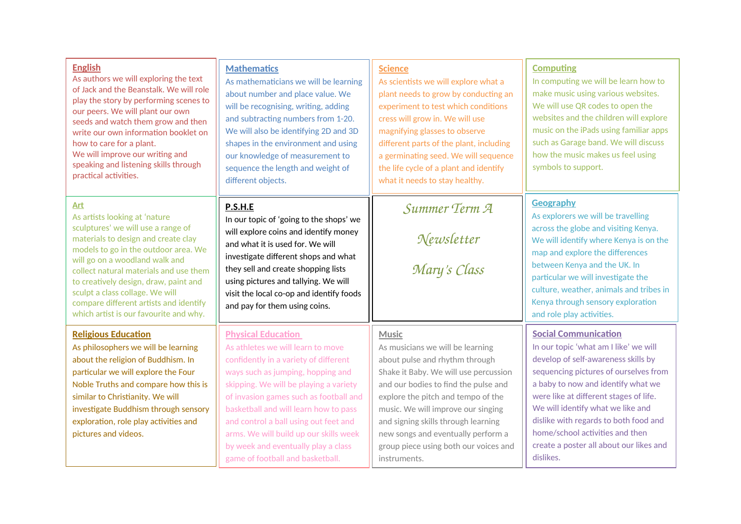| <b>English</b><br>As authors we will exploring the text<br>of Jack and the Beanstalk. We will role<br>play the story by performing scenes to<br>our peers. We will plant our own<br>seeds and watch them grow and then<br>write our own information booklet on<br>how to care for a plant.<br>We will improve our writing and<br>speaking and listening skills through<br>practical activities.       | <b>Mathematics</b><br>As mathematicians we will be learning<br>about number and place value. We<br>will be recognising, writing, adding<br>and subtracting numbers from 1-20.<br>We will also be identifying 2D and 3D<br>shapes in the environment and using<br>our knowledge of measurement to<br>sequence the length and weight of<br>different objects.                                                                             | <b>Science</b><br>As scientists we will explore what a<br>plant needs to grow by conducting an<br>experiment to test which conditions<br>cress will grow in. We will use<br>magnifying glasses to observe<br>different parts of the plant, including<br>a germinating seed. We will sequence<br>the life cycle of a plant and identify<br>what it needs to stay healthy.              | <b>Computing</b><br>In computing we will be learn how to<br>make music using various websites.<br>We will use QR codes to open the<br>websites and the children will explore<br>music on the iPads using familiar apps<br>such as Garage band. We will discuss<br>how the music makes us feel using<br>symbols to support.                                                                                    |
|-------------------------------------------------------------------------------------------------------------------------------------------------------------------------------------------------------------------------------------------------------------------------------------------------------------------------------------------------------------------------------------------------------|-----------------------------------------------------------------------------------------------------------------------------------------------------------------------------------------------------------------------------------------------------------------------------------------------------------------------------------------------------------------------------------------------------------------------------------------|---------------------------------------------------------------------------------------------------------------------------------------------------------------------------------------------------------------------------------------------------------------------------------------------------------------------------------------------------------------------------------------|---------------------------------------------------------------------------------------------------------------------------------------------------------------------------------------------------------------------------------------------------------------------------------------------------------------------------------------------------------------------------------------------------------------|
| Art<br>As artists looking at 'nature<br>sculptures' we will use a range of<br>materials to design and create clay<br>models to go in the outdoor area. We<br>will go on a woodland walk and<br>collect natural materials and use them<br>to creatively design, draw, paint and<br>sculpt a class collage. We will<br>compare different artists and identify<br>which artist is our favourite and why. | P.S.H.E<br>In our topic of 'going to the shops' we<br>will explore coins and identify money<br>and what it is used for. We will<br>investigate different shops and what<br>they sell and create shopping lists<br>using pictures and tallying. We will<br>visit the local co-op and identify foods<br>and pay for them using coins.                                                                                                     | Summer Term A<br>Newsletter<br>Mary's Class                                                                                                                                                                                                                                                                                                                                           | <b>Geography</b><br>As explorers we will be travelling<br>across the globe and visiting Kenya.<br>We will identify where Kenya is on the<br>map and explore the differences<br>between Kenya and the UK. In<br>particular we will investigate the<br>culture, weather, animals and tribes in<br>Kenya through sensory exploration<br>and role play activities.                                                |
| <b>Religious Education</b><br>As philosophers we will be learning<br>about the religion of Buddhism. In<br>particular we will explore the Four<br>Noble Truths and compare how this is<br>similar to Christianity. We will<br>investigate Buddhism through sensory<br>exploration, role play activities and<br>pictures and videos.                                                                   | <b>Physical Education</b><br>As athletes we will learn to move<br>confidently in a variety of different<br>ways such as jumping, hopping and<br>skipping. We will be playing a variety<br>of invasion games such as football and<br>basketball and will learn how to pass<br>and control a ball using out feet and<br>arms. We will build up our skills week<br>by week and eventually play a class<br>game of football and basketball. | <b>Music</b><br>As musicians we will be learning<br>about pulse and rhythm through<br>Shake it Baby. We will use percussion<br>and our bodies to find the pulse and<br>explore the pitch and tempo of the<br>music. We will improve our singing<br>and signing skills through learning<br>new songs and eventually perform a<br>group piece using both our voices and<br>instruments. | <b>Social Communication</b><br>In our topic 'what am I like' we will<br>develop of self-awareness skills by<br>sequencing pictures of ourselves from<br>a baby to now and identify what we<br>were like at different stages of life.<br>We will identify what we like and<br>dislike with regards to both food and<br>home/school activities and then<br>create a poster all about our likes and<br>dislikes. |